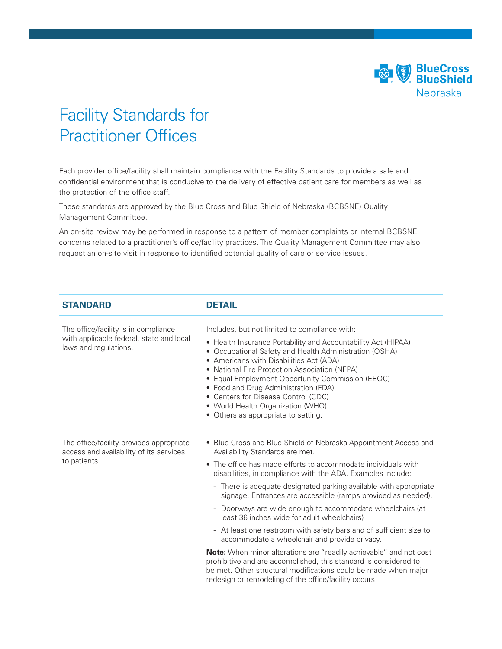

## Facility Standards for Practitioner Offices

Each provider office/facility shall maintain compliance with the Facility Standards to provide a safe and confidential environment that is conducive to the delivery of effective patient care for members as well as the protection of the office staff.

These standards are approved by the Blue Cross and Blue Shield of Nebraska (BCBSNE) Quality Management Committee.

An on-site review may be performed in response to a pattern of member complaints or internal BCBSNE concerns related to a practitioner's office/facility practices. The Quality Management Committee may also request an on-site visit in response to identified potential quality of care or service issues.

| <b>STANDARD</b>                                                                                           | <b>DETAIL</b>                                                                                                                                                                                                                                                                                                                                                                                                                                                                                                                                                                                                                                                                                                                                                                                                                                                                            |
|-----------------------------------------------------------------------------------------------------------|------------------------------------------------------------------------------------------------------------------------------------------------------------------------------------------------------------------------------------------------------------------------------------------------------------------------------------------------------------------------------------------------------------------------------------------------------------------------------------------------------------------------------------------------------------------------------------------------------------------------------------------------------------------------------------------------------------------------------------------------------------------------------------------------------------------------------------------------------------------------------------------|
| The office/facility is in compliance<br>with applicable federal, state and local<br>laws and regulations. | Includes, but not limited to compliance with:<br>• Health Insurance Portability and Accountability Act (HIPAA)<br>• Occupational Safety and Health Administration (OSHA)<br>• Americans with Disabilities Act (ADA)<br>• National Fire Protection Association (NFPA)<br>• Equal Employment Opportunity Commission (EEOC)<br>• Food and Drug Administration (FDA)<br>• Centers for Disease Control (CDC)<br>• World Health Organization (WHO)<br>• Others as appropriate to setting.                                                                                                                                                                                                                                                                                                                                                                                                      |
| The office/facility provides appropriate<br>access and availability of its services<br>to patients.       | • Blue Cross and Blue Shield of Nebraska Appointment Access and<br>Availability Standards are met.<br>• The office has made efforts to accommodate individuals with<br>disabilities, in compliance with the ADA. Examples include:<br>- There is adequate designated parking available with appropriate<br>signage. Entrances are accessible (ramps provided as needed).<br>- Doorways are wide enough to accommodate wheelchairs (at<br>least 36 inches wide for adult wheelchairs)<br>- At least one restroom with safety bars and of sufficient size to<br>accommodate a wheelchair and provide privacy.<br><b>Note:</b> When minor alterations are "readily achievable" and not cost<br>prohibitive and are accomplished, this standard is considered to<br>be met. Other structural modifications could be made when major<br>redesign or remodeling of the office/facility occurs. |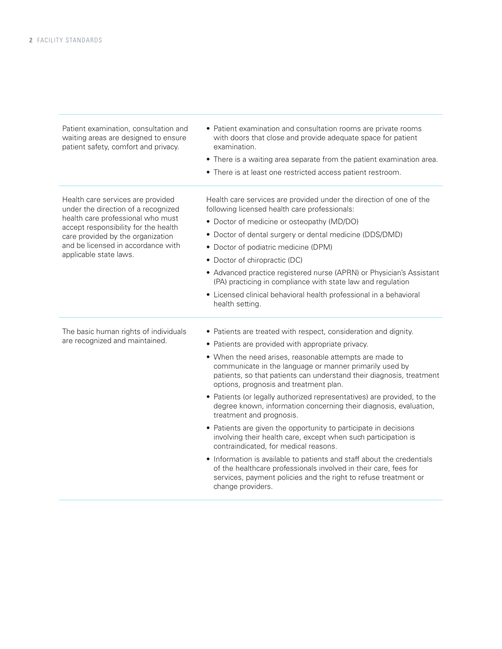| Patient examination, consultation and<br>waiting areas are designed to ensure<br>patient safety, comfort and privacy.                                                                                                                                      | • Patient examination and consultation rooms are private rooms<br>with doors that close and provide adequate space for patient<br>examination.<br>• There is a waiting area separate from the patient examination area.<br>• There is at least one restricted access patient restroom.                                                                                                                                                                                                                                                                                                                                                                                                                                                                                                                                                                                                                                                                        |
|------------------------------------------------------------------------------------------------------------------------------------------------------------------------------------------------------------------------------------------------------------|---------------------------------------------------------------------------------------------------------------------------------------------------------------------------------------------------------------------------------------------------------------------------------------------------------------------------------------------------------------------------------------------------------------------------------------------------------------------------------------------------------------------------------------------------------------------------------------------------------------------------------------------------------------------------------------------------------------------------------------------------------------------------------------------------------------------------------------------------------------------------------------------------------------------------------------------------------------|
| Health care services are provided<br>under the direction of a recognized<br>health care professional who must<br>accept responsibility for the health<br>care provided by the organization<br>and be licensed in accordance with<br>applicable state laws. | Health care services are provided under the direction of one of the<br>following licensed health care professionals:<br>• Doctor of medicine or osteopathy (MD/DO)<br>• Doctor of dental surgery or dental medicine (DDS/DMD)<br>• Doctor of podiatric medicine (DPM)<br>• Doctor of chiropractic (DC)<br>• Advanced practice registered nurse (APRN) or Physician's Assistant<br>(PA) practicing in compliance with state law and regulation<br>• Licensed clinical behavioral health professional in a behavioral<br>health setting.                                                                                                                                                                                                                                                                                                                                                                                                                        |
| The basic human rights of individuals<br>are recognized and maintained.                                                                                                                                                                                    | • Patients are treated with respect, consideration and dignity.<br>• Patients are provided with appropriate privacy.<br>• When the need arises, reasonable attempts are made to<br>communicate in the language or manner primarily used by<br>patients, so that patients can understand their diagnosis, treatment<br>options, prognosis and treatment plan.<br>• Patients (or legally authorized representatives) are provided, to the<br>degree known, information concerning their diagnosis, evaluation,<br>treatment and prognosis.<br>• Patients are given the opportunity to participate in decisions<br>involving their health care, except when such participation is<br>contraindicated, for medical reasons.<br>• Information is available to patients and staff about the credentials<br>of the healthcare professionals involved in their care, fees for<br>services, payment policies and the right to refuse treatment or<br>change providers. |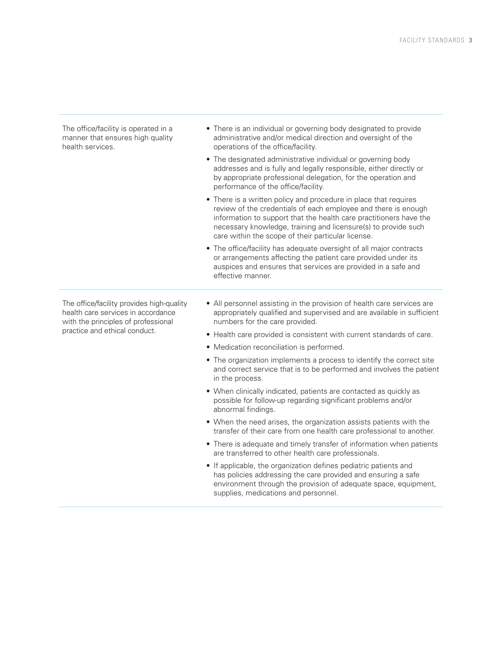The office/facility is operated in a manner that ensures high quality health services. • There is an individual or governing body designated to provide administrative and/or medical direction and oversight of the operations of the office/facility. • The designated administrative individual or governing body addresses and is fully and legally responsible, either directly or by appropriate professional delegation, for the operation and performance of the office/facility. • There is a written policy and procedure in place that requires review of the credentials of each employee and there is enough information to support that the health care practitioners have the necessary knowledge, training and licensure(s) to provide such care within the scope of their particular license. • The office/facility has adequate oversight of all major contracts or arrangements affecting the patient care provided under its auspices and ensures that services are provided in a safe and effective manner. The office/facility provides high-quality health care services in accordance with the principles of professional practice and ethical conduct. • All personnel assisting in the provision of health care services are appropriately qualified and supervised and are available in sufficient numbers for the care provided. • Health care provided is consistent with current standards of care. • Medication reconciliation is performed. • The organization implements a process to identify the correct site and correct service that is to be performed and involves the patient in the process. • When clinically indicated, patients are contacted as quickly as possible for follow-up regarding significant problems and/or abnormal findings. • When the need arises, the organization assists patients with the transfer of their care from one health care professional to another. • There is adequate and timely transfer of information when patients are transferred to other health care professionals. • If applicable, the organization defines pediatric patients and has policies addressing the care provided and ensuring a safe environment through the provision of adequate space, equipment, supplies, medications and personnel.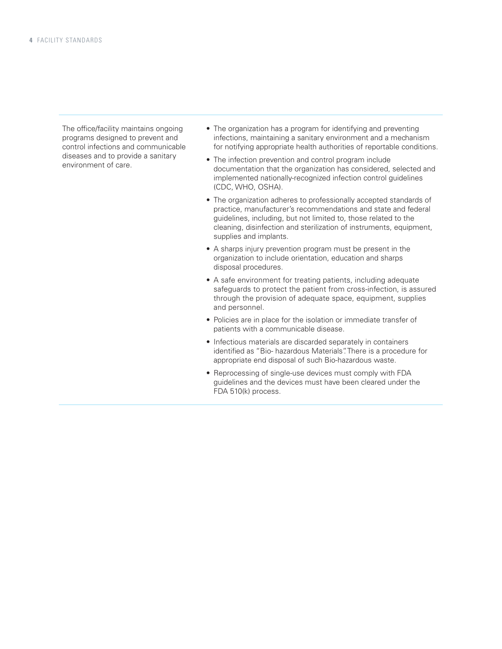The office/facility maintains ongoing programs designed to prevent and control infections and communicable diseases and to provide a sanitary environment of care.

- The organization has a program for identifying and preventing infections, maintaining a sanitary environment and a mechanism for notifying appropriate health authorities of reportable conditions.
- The infection prevention and control program include documentation that the organization has considered, selected and implemented nationally-recognized infection control guidelines (CDC, WHO, OSHA).
- The organization adheres to professionally accepted standards of practice, manufacturer's recommendations and state and federal guidelines, including, but not limited to, those related to the cleaning, disinfection and sterilization of instruments, equipment, supplies and implants.
- A sharps injury prevention program must be present in the organization to include orientation, education and sharps disposal procedures.
- A safe environment for treating patients, including adequate safeguards to protect the patient from cross-infection, is assured through the provision of adequate space, equipment, supplies and personnel.
- Policies are in place for the isolation or immediate transfer of patients with a communicable disease.
- Infectious materials are discarded separately in containers identified as "Bio- hazardous Materials". There is a procedure for appropriate end disposal of such Bio-hazardous waste.
- Reprocessing of single-use devices must comply with FDA guidelines and the devices must have been cleared under the FDA 510(k) process.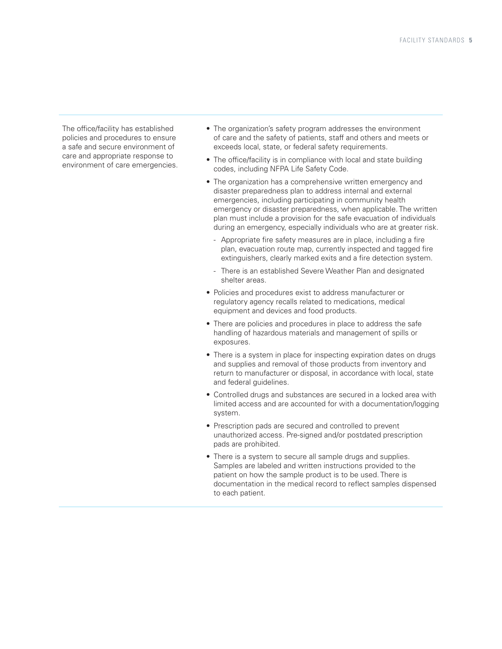The office/facility has established policies and procedures to ensure a safe and secure environment of care and appropriate response to environment of care emergencies.

- The organization's safety program addresses the environment of care and the safety of patients, staff and others and meets or exceeds local, state, or federal safety requirements.
- The office/facility is in compliance with local and state building codes, including NFPA Life Safety Code.
- The organization has a comprehensive written emergency and disaster preparedness plan to address internal and external emergencies, including participating in community health emergency or disaster preparedness, when applicable. The written plan must include a provision for the safe evacuation of individuals during an emergency, especially individuals who are at greater risk.
	- Appropriate fire safety measures are in place, including a fire plan, evacuation route map, currently inspected and tagged fire extinguishers, clearly marked exits and a fire detection system.
	- There is an established Severe Weather Plan and designated shelter areas.
- Policies and procedures exist to address manufacturer or regulatory agency recalls related to medications, medical equipment and devices and food products.
- There are policies and procedures in place to address the safe handling of hazardous materials and management of spills or exposures.
- There is a system in place for inspecting expiration dates on drugs and supplies and removal of those products from inventory and return to manufacturer or disposal, in accordance with local, state and federal guidelines.
- Controlled drugs and substances are secured in a locked area with limited access and are accounted for with a documentation/logging system.
- Prescription pads are secured and controlled to prevent unauthorized access. Pre-signed and/or postdated prescription pads are prohibited.
- There is a system to secure all sample drugs and supplies. Samples are labeled and written instructions provided to the patient on how the sample product is to be used. There is documentation in the medical record to reflect samples dispensed to each patient.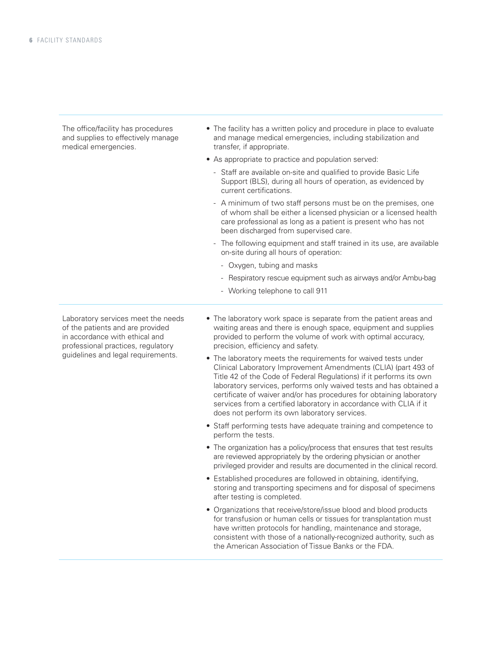The office/facility has procedures and supplies to effectively manage medical emergencies.

- The facility has a written policy and procedure in place to evaluate and manage medical emergencies, including stabilization and transfer, if appropriate.
- As appropriate to practice and population served:
	- Staff are available on-site and qualified to provide Basic Life Support (BLS), during all hours of operation, as evidenced by current certifications.
	- A minimum of two staff persons must be on the premises, one of whom shall be either a licensed physician or a licensed health care professional as long as a patient is present who has not been discharged from supervised care.
	- The following equipment and staff trained in its use, are available on-site during all hours of operation:
		- Oxygen, tubing and masks
		- Respiratory rescue equipment such as airways and/or Ambu-bag
		- Working telephone to call 911

Laboratory services meet the needs of the patients and are provided in accordance with ethical and professional practices, regulatory guidelines and legal requirements.

- The laboratory work space is separate from the patient areas and waiting areas and there is enough space, equipment and supplies provided to perform the volume of work with optimal accuracy, precision, efficiency and safety.
- The laboratory meets the requirements for waived tests under Clinical Laboratory Improvement Amendments (CLIA) (part 493 of Title 42 of the Code of Federal Regulations) if it performs its own laboratory services, performs only waived tests and has obtained a certificate of waiver and/or has procedures for obtaining laboratory services from a certified laboratory in accordance with CLIA if it does not perform its own laboratory services.
- Staff performing tests have adequate training and competence to perform the tests.
- The organization has a policy/process that ensures that test results are reviewed appropriately by the ordering physician or another privileged provider and results are documented in the clinical record.
- Established procedures are followed in obtaining, identifying, storing and transporting specimens and for disposal of specimens after testing is completed.
- Organizations that receive/store/issue blood and blood products for transfusion or human cells or tissues for transplantation must have written protocols for handling, maintenance and storage, consistent with those of a nationally-recognized authority, such as the American Association of Tissue Banks or the FDA.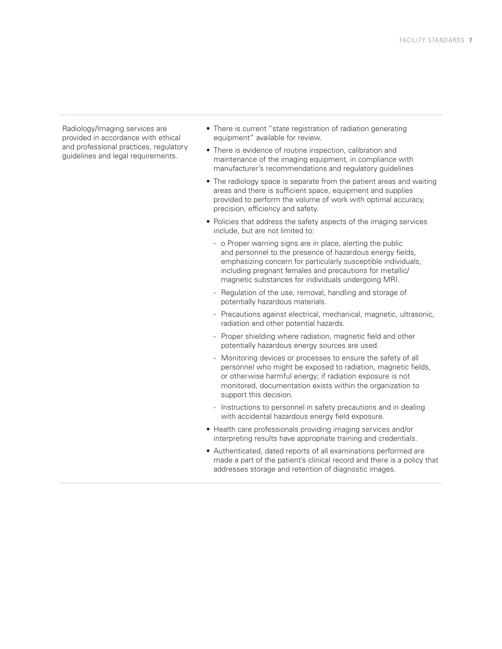Radiology/Imaging services are provided in accordance with ethical and professional practices, regulatory guidelines and legal requirements.

- There is current "state registration of radiation generating equipment" available for review.
- There is evidence of routine inspection, calibration and maintenance of the imaging equipment, in compliance with manufacturer's recommendations and regulatory guidelines
- The radiology space is separate from the patient areas and waiting areas and there is sufficient space, equipment and supplies provided to perform the volume of work with optimal accuracy, precision, efficiency and safety.
- Policies that address the safety aspects of the imaging services include, but are not limited to:
	- o Proper warning signs are in place, alerting the public and personnel to the presence of hazardous energy fields, emphasizing concern for particularly susceptible individuals, including pregnant females and precautions for metallic/ magnetic substances for individuals undergoing MRI.
	- Regulation of the use, removal, handling and storage of potentially hazardous materials.
	- Precautions against electrical, mechanical, magnetic, ultrasonic, radiation and other potential hazards.
	- Proper shielding where radiation, magnetic field and other potentially hazardous energy sources are used.
	- Monitoring devices or processes to ensure the safety of all personnel who might be exposed to radiation, magnetic fields, or otherwise harmful energy; if radiation exposure is not monitored, documentation exists within the organization to support this decision.
	- Instructions to personnel in safety precautions and in dealing with accidental hazardous energy field exposure.
- Health care professionals providing imaging services and/or interpreting results have appropriate training and credentials.
- Authenticated, dated reports of all examinations performed are made a part of the patient's clinical record and there is a policy that addresses storage and retention of diagnostic images.